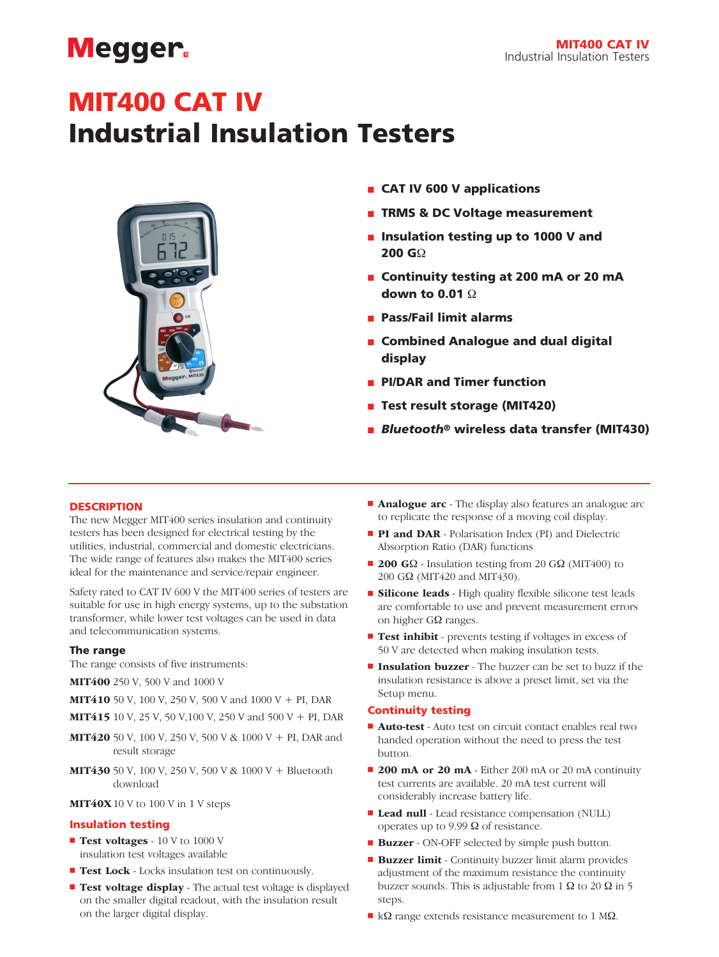## **Megger**

## MIT400 CAT IV

## Industrial Insulation Testers



- **n** CAT IV 600 V applications
- **n** TRMS & DC Voltage measurement
- n Insulation testing up to 1000 V and 200 GΩ
- Continuity testing at 200 mA or 20 mA down to 0.01 Ω
- <sup>n</sup> Pass/Fail limit alarms
- Combined Analogue and dual digital display
- **n** PI/DAR and Timer function
- Test result storage (MIT420)
- *Bluetooth<sup>®</sup>* wireless data transfer (MIT430)

#### **DESCRIPTION**

The new Megger MIT400 series insulation and continuity testers has been designed for electrical testing by the utilities, industrial, commercial and domestic electricians. The wide range of features also makes the MIT400 series ideal for the maintenance and service/repair engineer.

Safety rated to CAT IV 600 V the MIT400 series of testers are suitable for use in high energy systems, up to the substation transformer, while lower test voltages can be used in data and telecommunication systems.

#### The range

The range consists of five instruments:

- MIT400 250 V, 500 V and 1000 V
- MIT410 50 V, 100 V, 250 V, 500 V and 1000 V + PI, DAR
- MIT415 10 V, 25 V, 50 V,100 V, 250 V and 500 V + PI, DAR
- **MIT420** 50 V, 100 V, 250 V, 500 V & 1000 V + PI, DAR and result storage
- **MIT430** 50 V, 100 V, 250 V, 500 V & 1000 V + Bluetooth download

## MIT40X 10 V to 100 V in 1 V steps

#### Insulation testing

- **Test voltages** 10 V to 1000 V insulation test voltages available
- Test Lock Locks insulation test on continuously.
- Test voltage display The actual test voltage is displayed on the smaller digital readout, with the insulation result on the larger digital display.
- **Analogue arc** The display also features an analogue arc to replicate the response of a moving coil display.
- **PI and DAR** Polarisation Index (PI) and Dielectric Absorption Ratio (DAR) functions
- **200 G** $\Omega$  Insulation testing from 20 G $\Omega$  (MIT400) to 200 GΩ (MIT420 and MIT430).
- **Silicone leads** High quality flexible silicone test leads are comfortable to use and prevent measurement errors on higher GΩ ranges.
- **Test inhibit** prevents testing if voltages in excess of 50 V are detected when making insulation tests.
- **n Insulation buzzer** The buzzer can be set to buzz if the insulation resistance is above a preset limit, set via the Setup menu.

#### Continuity testing

- Auto-test Auto test on circuit contact enables real two handed operation without the need to press the test button.
- **200 mA or 20 mA** Either 200 mA or 20 mA continuity test currents are available. 20 mA test current will considerably increase battery life.
- Lead null Lead resistance compensation (NULL) operates up to 9.99 Ω of resistance.
- **Buzzer** ON-OFF selected by simple push button.
- Buzzer limit Continuity buzzer limit alarm provides adjustment of the maximum resistance the continuity buzzer sounds. This is adjustable from 1 Ω to 20  $Ω$  in 5 steps.
- $\blacksquare$  kΩ range extends resistance measurement to 1 MΩ.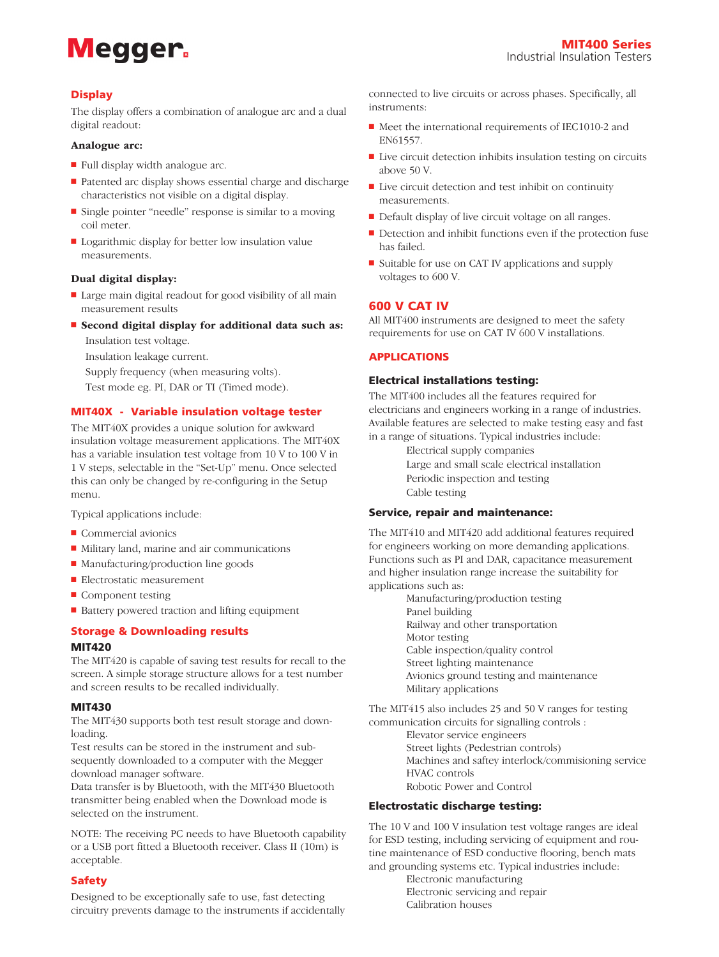# **Megger**

## **Display**

The display offers a combination of analogue arc and a dual digital readout:

#### Analogue arc:

- $\blacksquare$  Full display width analogue arc.
- Patented arc display shows essential charge and discharge characteristics not visible on a digital display.
- Single pointer "needle" response is similar to a moving coil meter.
- $\blacksquare$  Logarithmic display for better low insulation value measurements.

#### Dual digital display:

- Large main digital readout for good visibility of all main measurement results
- Second digital display for additional data such as:

Insulation test voltage.

Insulation leakage current.

Supply frequency (when measuring volts).

Test mode eg. PI, DAR or TI (Timed mode).

#### MIT40X - Variable insulation voltage tester

The MIT40X provides a unique solution for awkward insulation voltage measurement applications. The MIT40X has a variable insulation test voltage from 10 V to 100 V in 1 V steps, selectable in the "Set-Up" menu. Once selected this can only be changed by re-configuring in the Setup menu.

Typical applications include:

- $\blacksquare$  Commercial avionics
- $\blacksquare$  Military land, marine and air communications
- $\blacksquare$  Manufacturing/production line goods
- Electrostatic measurement
- $\blacksquare$  Component testing
- Battery powered traction and lifting equipment

## Storage & Downloading results

### MIT420

The MIT420 is capable of saving test results for recall to the screen. A simple storage structure allows for a test number and screen results to be recalled individually.

## MIT430

The MIT430 supports both test result storage and downloading.

Test results can be stored in the instrument and subsequently downloaded to a computer with the Megger download manager software.

Data transfer is by Bluetooth, with the MIT430 Bluetooth transmitter being enabled when the Download mode is selected on the instrument.

NOTE: The receiving PC needs to have Bluetooth capability or a USB port fitted a Bluetooth receiver. Class II (10m) is acceptable.

## Safety

Designed to be exceptionally safe to use, fast detecting circuitry prevents damage to the instruments if accidentally connected to live circuits or across phases. Specifically, all instruments:

- Meet the international requirements of IEC1010-2 and EN61557.
- $\blacksquare$  Live circuit detection inhibits insulation testing on circuits above 50 V.
- $\blacksquare$  Live circuit detection and test inhibit on continuity measurements.
- Default display of live circuit voltage on all ranges.
- $\blacksquare$  Detection and inhibit functions even if the protection fuse has failed.
- Suitable for use on CAT IV applications and supply voltages to 600 V.

## 600 V CAT IV

All MIT400 instruments are designed to meet the safety requirements for use on CAT IV 600 V installations.

#### APPLICATIONS

#### Electrical installations testing:

The MIT400 includes all the features required for electricians and engineers working in a range of industries. Available features are selected to make testing easy and fast in a range of situations. Typical industries include:

> Electrical supply companies Large and small scale electrical installation Periodic inspection and testing Cable testing

#### Service, repair and maintenance:

The MIT410 and MIT420 add additional features required for engineers working on more demanding applications. Functions such as PI and DAR, capacitance measurement and higher insulation range increase the suitability for applications such as:

> Manufacturing/production testing Panel building Railway and other transportation Motor testing Cable inspection/quality control Street lighting maintenance Avionics ground testing and maintenance Military applications

The MIT415 also includes 25 and 50 V ranges for testing communication circuits for signalling controls :

> Elevator service engineers Street lights (Pedestrian controls)

Machines and saftey interlock/commisioning service HVAC controls

Robotic Power and Control

## Electrostatic discharge testing:

The 10 V and 100 V insulation test voltage ranges are ideal for ESD testing, including servicing of equipment and routine maintenance of ESD conductive flooring, bench mats and grounding systems etc. Typical industries include:

> Electronic manufacturing Electronic servicing and repair Calibration houses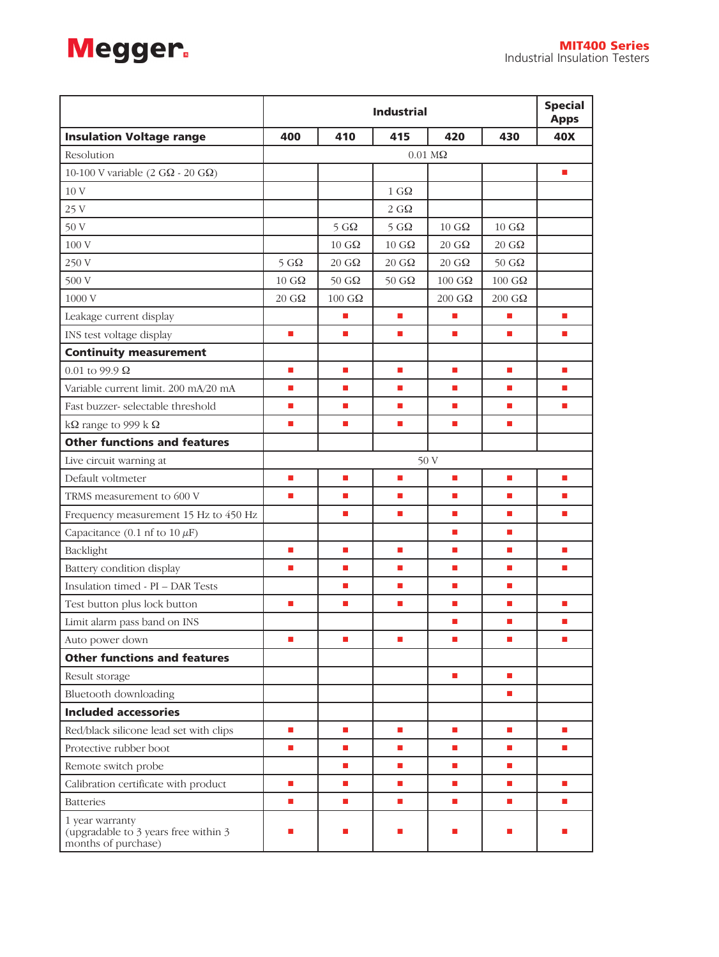

|                                                                                | <b>Industrial</b>           |                                |                             | <b>Special</b><br><b>Apps</b> |                        |                             |
|--------------------------------------------------------------------------------|-----------------------------|--------------------------------|-----------------------------|-------------------------------|------------------------|-----------------------------|
| <b>Insulation Voltage range</b>                                                | 400                         | 410                            | 415                         | 420                           | 430                    | 40X                         |
| Resolution                                                                     | $0.01 \text{ M}\Omega$      |                                |                             |                               |                        |                             |
| 10-100 V variable (2 G $\Omega$ - 20 G $\Omega$ )                              |                             |                                |                             |                               |                        | $\mathcal{L}_{\mathcal{A}}$ |
| 10 V                                                                           |                             |                                | $1 \, \text{G}\Omega$       |                               |                        |                             |
| 25 V                                                                           |                             |                                | $2\;{\rm G}\Omega$          |                               |                        |                             |
| 50 V                                                                           |                             | $5 \text{ } G\Omega$           | $5 \text{ } G\Omega$        | $10 \text{ } G\Omega$         | $10 \text{ } G\Omega$  |                             |
| 100 V                                                                          |                             | $10 \text{ } G\Omega$          | $10 \text{ } G\Omega$       | $20 \text{ } G\Omega$         | $20 \text{ } G\Omega$  |                             |
| 250 V                                                                          | $5 \text{ } G\Omega$        | $20 \text{ } G\Omega$          | $20 \text{ } G\Omega$       | $20 \text{ } G\Omega$         | 50 $G\Omega$           |                             |
| 500 V                                                                          | $10 \text{ } G\Omega$       | 50 G $\Omega$                  | $50\;{\rm G}\Omega$         | $100~\mathrm{G}\Omega$        | $100~\mathrm{G}\Omega$ |                             |
| 1000 V                                                                         | $20 \text{ } G\Omega$       | $100 \text{ } \text{G} \Omega$ |                             | $200 \text{ G}\Omega$         | $200 \text{ G}\Omega$  |                             |
| Leakage current display                                                        |                             | П                              | $\blacksquare$              | п                             | П                      | $\blacksquare$              |
| INS test voltage display                                                       | п                           | П                              | П                           | <b>The State</b>              | П                      | П                           |
| <b>Continuity measurement</b>                                                  |                             |                                |                             |                               |                        |                             |
| $0.01$ to 99.9 $\Omega$                                                        | $\blacksquare$              | П                              | <b>The State</b>            | <b>The State</b>              | П                      | $\mathbb{R}^n$              |
| Variable current limit. 200 mA/20 mA                                           | п                           | П                              | <b>The State</b>            | <b>The State</b>              | П                      | <b>The State</b>            |
| Fast buzzer- selectable threshold                                              | $\blacksquare$              | П                              | П                           | <b>The State</b>              | П                      | п                           |
| k $\Omega$ range to 999 k $\Omega$                                             | $\mathcal{L}_{\mathcal{A}}$ | п                              | $\mathcal{L}_{\mathcal{A}}$ | $\mathcal{L}_{\mathcal{A}}$   | п                      |                             |
| <b>Other functions and features</b>                                            |                             |                                |                             |                               |                        |                             |
| Live circuit warning at                                                        |                             |                                |                             | 50 V                          |                        |                             |
| Default voltmeter                                                              | $\blacksquare$              | п                              | $\Box$                      | <b>The State</b>              | п                      | <b>I</b>                    |
| TRMS measurement to 600 V                                                      | п                           | п                              | п                           | п                             | П                      | <b>The State</b>            |
| Frequency measurement 15 Hz to 450 Hz                                          |                             | п                              | п                           | п                             | П                      | п                           |
| Capacitance (0.1 nf to 10 $\mu$ F)                                             |                             |                                |                             | $\blacksquare$                | п                      |                             |
| Backlight                                                                      | п                           | п                              | п                           | п                             | п                      | П                           |
| Battery condition display                                                      | $\blacksquare$              | п                              | п                           | $\blacksquare$                | п                      | п                           |
| Insulation timed - PI - DAR Tests                                              |                             | п                              | п                           | $\blacksquare$                | п                      |                             |
| Test button plus lock button                                                   | п                           | П                              | п                           | п                             | П                      | $\mathbb{R}^n$              |
| Limit alarm pass band on INS                                                   |                             |                                |                             | п                             | п                      | п                           |
| Auto power down                                                                | ш                           | п                              | <b>The Second</b>           | <b>The Second</b>             | П                      | <b>The State</b>            |
| <b>Other functions and features</b>                                            |                             |                                |                             |                               |                        |                             |
| Result storage                                                                 |                             |                                |                             | $\mathcal{L}_{\mathcal{A}}$   | п                      |                             |
| Bluetooth downloading                                                          |                             |                                |                             |                               | п                      |                             |
| <b>Included accessories</b>                                                    |                             |                                |                             |                               |                        |                             |
| Red/black silicone lead set with clips                                         | ٠                           | п                              | п                           | п                             | п                      | п                           |
| Protective rubber boot                                                         | $\blacksquare$              | $\blacksquare$                 | $\blacksquare$              | $\blacksquare$                | п                      | $\mathcal{L}$               |
| Remote switch probe                                                            |                             | $\blacksquare$                 | $\blacksquare$              | п                             | п                      |                             |
| Calibration certificate with product                                           | $\blacksquare$              | $\blacksquare$                 | $\blacksquare$              | $\blacksquare$                | $\blacksquare$         | $\blacksquare$              |
| <b>Batteries</b>                                                               | $\mathbf{r}$                | п                              | п                           | $\mathcal{L}_{\mathcal{A}}$   | п                      | $\mathbf{r}$                |
| 1 year warranty<br>(upgradable to 3 years free within 3<br>months of purchase) | п                           | П                              | <b>The Second</b>           | П                             | П                      | <b>The State</b>            |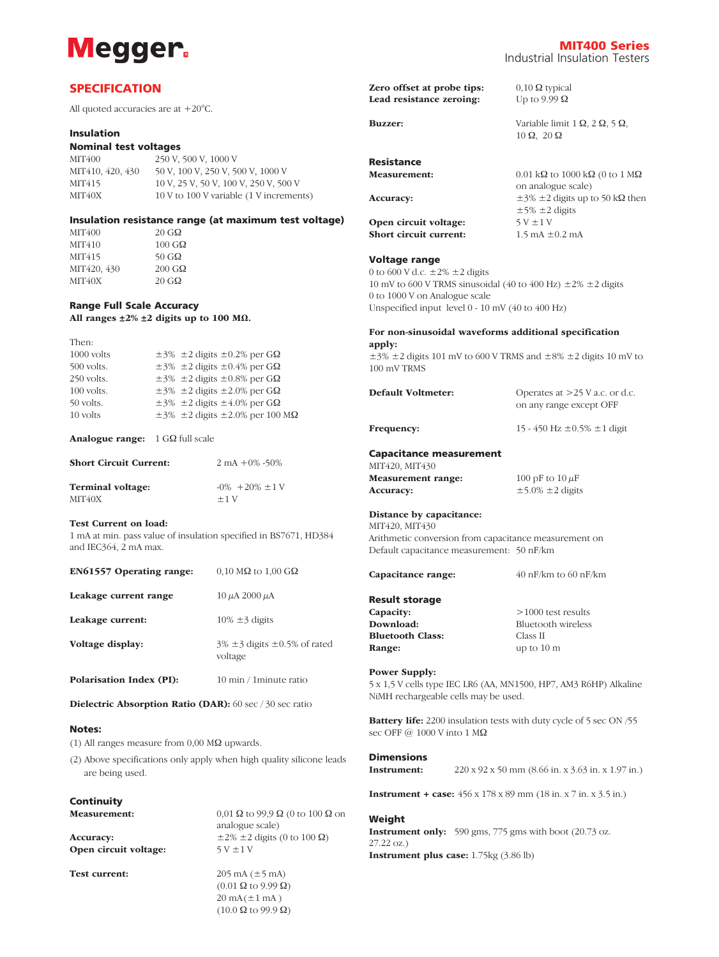

## **SPECIFICATION**

All quoted accuracies are at +20°C.

#### Insulation

#### Nominal test voltages

MIT400 250 V, 500 V, 1000 V MIT410, 420, 430 50 V, 100 V, 250 V, 500 V, 1000 V MIT415 10 V, 25 V, 50 V, 100 V, 250 V, 500 V MIT40X 10 V to 100 V variable (1 V increments)

## Insulation resistance range (at maximum test voltage)

MIT400 20 GΩ<br>MIT410 100 GΩ M114<sub>0</sub><br>MIT410 100 GΩ<br>MIT415 50 GΩ MIT415 50 G $\Omega$ MIT420, 430 200 G $\Omega$ MIT40X 20 G $\Omega$ 

## Range Full Scale Accuracy

All ranges ±2% ±2 digits up to 100 MΩ.

| Then:                                                             |  |
|-------------------------------------------------------------------|--|
| 1000 volts<br>$\pm$ 3% $\pm$ 2 digits $\pm$ 0.2% per G $\Omega$   |  |
| $\pm$ 3% $\pm$ 2 digits $\pm$ 0.4% per G $\Omega$<br>500 volts.   |  |
| $\pm$ 3% $\pm$ 2 digits $\pm$ 0.8% per G $\Omega$<br>250 volts.   |  |
| $\pm$ 3% $\pm$ 2 digits $\pm$ 2.0% per G $\Omega$<br>100 volts.   |  |
| $\pm$ 3% $\pm$ 2 digits $\pm$ 4.0% per G $\Omega$<br>$50$ volts.  |  |
| $\pm$ 3% $\pm$ 2 digits $\pm$ 2.0% per 100 M $\Omega$<br>10 volts |  |

Analogue range: 1 GΩ full scale

| <b>Short Circuit Current:</b> | $2 \text{ mA} + 0\% - 50\%$ |
|-------------------------------|-----------------------------|
| Terminal voltage:             | $-0\% + 20\% \pm 1$ V       |
| MIT <sub>40</sub> X           | $+1V$                       |

#### Test Current on load:

1 mA at min. pass value of insulation specified in BS7671, HD384 and IEC364, 2 mA max.

| EN61557 Operating range:        | $0.10 \text{ M}\Omega$ to $1.00 \text{ G}\Omega$   |
|---------------------------------|----------------------------------------------------|
| Leakage current range           | $10 \mu A$ 2000 $\mu A$                            |
| Leakage current:                | $10\% \pm 3$ digits                                |
| Voltage display:                | $3\% \pm 3$ digits $\pm 0.5\%$ of rated<br>voltage |
| <b>Polarisation Index (PI):</b> | 10 min / 1 minute ratio                            |

Dielectric Absorption Ratio (DAR): 60 sec / 30 sec ratio

#### Notes:

(1) All ranges measure from 0,00 MΩ upwards.

(2) Above specifications only apply when high quality silicone leads are being used.

## **Continuity**

| <b>Measurement:</b>   | $0.01 \Omega$ to 99.9 $\Omega$ (0 to 100 $\Omega$ on |  |  |
|-----------------------|------------------------------------------------------|--|--|
|                       | analogue scale)                                      |  |  |
| Accuracy:             | $\pm 2\% \pm 2$ digits (0 to 100 $\Omega$ )          |  |  |
| Open circuit voltage: | $5V \pm 1V$                                          |  |  |
| <b>Test current:</b>  | $205 \text{ mA} (\pm 5 \text{ mA})$                  |  |  |
|                       | $(0.01 \Omega \text{ to } 9.99 \Omega)$              |  |  |
|                       | $20 \text{ mA} (\pm 1 \text{ mA})$                   |  |  |
|                       | $(10.0 \Omega$ to 99.9 $\Omega$ )                    |  |  |

MIT400 Series Industrial Insulation Testers

| Zero offset at probe tips:<br>Lead resistance zeroing:                                                                                       | $0,10 \Omega$ typical<br>Up to 9.99 $\Omega$                                                                                               |
|----------------------------------------------------------------------------------------------------------------------------------------------|--------------------------------------------------------------------------------------------------------------------------------------------|
| <b>Buzzer:</b>                                                                                                                               | Variable limit $1 \Omega$ , $2 \Omega$ , $5 \Omega$ ,<br>$10 \Omega$ , $20 \Omega$                                                         |
| Resistance<br><b>Measurement:</b>                                                                                                            | $0.01 \text{ k}\Omega$ to 1000 k $\Omega$ (0 to 1 M $\Omega$ )<br>on analogue scale)                                                       |
| <b>Accuracy:</b><br>Open circuit voltage:<br>Short circuit current:                                                                          | $\pm 3\% \pm 2$ digits up to 50 kQ then<br>$\pm$ 5% $\pm$ 2 digits<br>$5V \pm 1V$<br>$1.5 \text{ mA } \pm 0.2 \text{ mA}$                  |
| Voltage range<br>0 to 600 V d.c. $\pm 2\% \pm 2$ digits<br>0 to 1000 V on Analogue scale<br>Unspecified input level 0 - 10 mV (40 to 400 Hz) | 10 mV to 600 V TRMS sinusoidal (40 to 400 Hz) $\pm 2\% \pm 2$ digits                                                                       |
| apply:<br>100 mV TRMS                                                                                                                        | For non-sinusoidal waveforms additional specification<br>$\pm$ 3% $\pm$ 2 digits 101 mV to 600 V TRMS and $\pm$ 8% $\pm$ 2 digits 10 mV to |
| Default Voltmeter:                                                                                                                           | Operates at $>25$ V a.c. or d.c.<br>on any range except OFF                                                                                |
| Frequency:                                                                                                                                   | 15 - 450 Hz $\pm 0.5\% \pm 1$ digit                                                                                                        |
| <b>Capacitance measurement</b><br>MIT420, MIT430                                                                                             |                                                                                                                                            |
| <b>Measurement</b> range:<br>Accuracy:                                                                                                       | 100 pF to $10 \mu$ F<br>$\pm$ 5.0% $\pm$ 2 digits                                                                                          |
| Distance by capacitance:<br>MIT420, MIT430<br>Default capacitance measurement: 50 nF/km                                                      | Arithmetic conversion from capacitance measurement on                                                                                      |
| Capacitance range:                                                                                                                           | $40$ nF/km to 60 nF/km                                                                                                                     |
| <b>Result storage</b><br>Capacity:<br>Download:<br><b>Bluetooth Class:</b><br>Range:                                                         | $>1000$ test results<br><b>Bluetooth</b> wireless<br>Class II<br>up to $10 \text{ m}$                                                      |
| <b>Power Supply:</b><br>NiMH rechargeable cells may be used.                                                                                 | 5 x 1,5 V cells type IEC LR6 (AA, MN1500, HP7, AM3 R6HP) Alkaline                                                                          |
| sec OFF $@1000$ V into $1 \text{ M}\Omega$                                                                                                   | <b>Battery life:</b> 2200 insulation tests with duty cycle of 5 sec ON /55                                                                 |
| <b>Dimensions</b><br>Instrument:                                                                                                             | $220 \times 92 \times 50$ mm $(8.66$ in. $x \times 3.63$ in. $x \times 1.97$ in.)                                                          |
|                                                                                                                                              | <b>Instrument + case:</b> $456 \times 178 \times 89$ mm (18 in. x 7 in. x 3.5 in.)                                                         |
| Weight<br>$27.22 \text{ oz.}$                                                                                                                | <b>Instrument only:</b> 590 gms, 775 gms with boot $(20.73 \text{ oz.})$                                                                   |
| Instrument plus case: 1.75kg (3.86 lb)                                                                                                       |                                                                                                                                            |